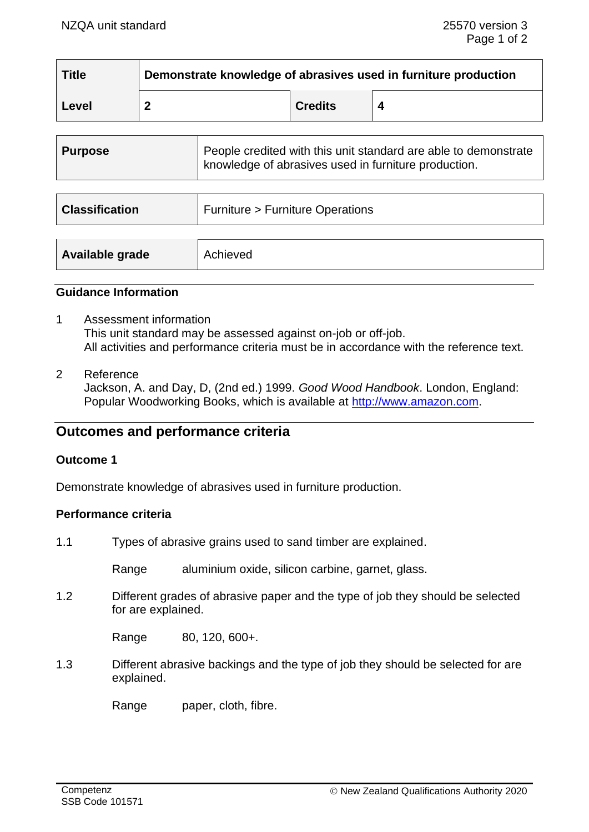| <b>Title</b> | Demonstrate knowledge of abrasives used in furniture production |                |  |
|--------------|-----------------------------------------------------------------|----------------|--|
| Level        |                                                                 | <b>Credits</b> |  |

| <b>Purpose</b>        | People credited with this unit standard are able to demonstrate<br>knowledge of abrasives used in furniture production. |
|-----------------------|-------------------------------------------------------------------------------------------------------------------------|
| <b>Classification</b> | <b>Furniture &gt; Furniture Operations</b>                                                                              |
|                       |                                                                                                                         |

|  |  | <b>Available grade</b> | Achieved |
|--|--|------------------------|----------|
|--|--|------------------------|----------|

## **Guidance Information**

- 1 Assessment information This unit standard may be assessed against on-job or off-job. All activities and performance criteria must be in accordance with the reference text.
- 2 Reference

Jackson, A. and Day, D, (2nd ed.) 1999. *Good Wood Handbook*. London, England: Popular Woodworking Books, which is available at [http://www.amazon.com.](http://www.amazon.com/)

# **Outcomes and performance criteria**

#### **Outcome 1**

Demonstrate knowledge of abrasives used in furniture production.

## **Performance criteria**

1.1 Types of abrasive grains used to sand timber are explained.

Range aluminium oxide, silicon carbine, garnet, glass.

1.2 Different grades of abrasive paper and the type of job they should be selected for are explained.

Range 80, 120, 600+.

1.3 Different abrasive backings and the type of job they should be selected for are explained.

Range paper, cloth, fibre.